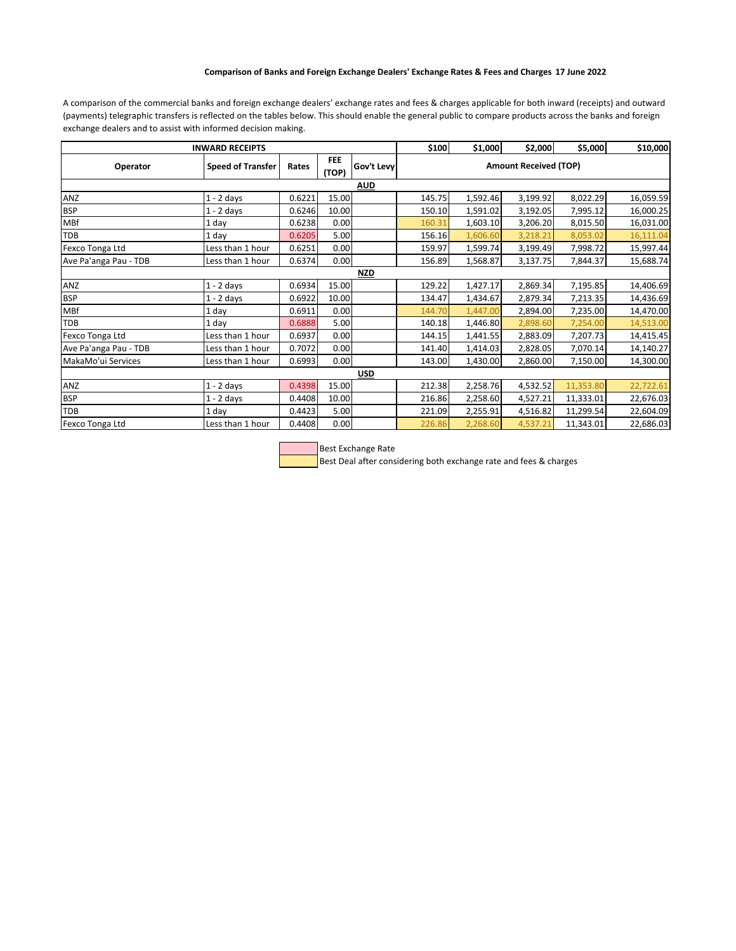## **Comparison of Banks and Foreign Exchange Dealers' Exchange Rates & Fees and Charges 17 June 2022**

A comparison of the commercial banks and foreign exchange dealers' exchange rates and fees & charges applicable for both inward (receipts) and outward (payments) telegraphic transfers is reflected on the tables below. This should enable the general public to compare products across the banks and foreign exchange dealers and to assist with informed decision making.

| <b>INWARD RECEIPTS</b> |                          |        |                     |            | \$100                        | \$1,000  | \$2,000  | \$5,000   | \$10,000  |  |  |  |
|------------------------|--------------------------|--------|---------------------|------------|------------------------------|----------|----------|-----------|-----------|--|--|--|
| Operator               | <b>Speed of Transfer</b> | Rates  | <b>FEE</b><br>(TOP) | Gov't Levy | <b>Amount Received (TOP)</b> |          |          |           |           |  |  |  |
| <b>AUD</b>             |                          |        |                     |            |                              |          |          |           |           |  |  |  |
| ANZ                    | $1 - 2$ days             | 0.6221 | 15.00               |            | 145.75                       | 1,592.46 | 3,199.92 | 8,022.29  | 16,059.59 |  |  |  |
| <b>BSP</b>             | $1 - 2$ days             | 0.6246 | 10.00               |            | 150.10                       | 1,591.02 | 3,192.05 | 7,995.12  | 16,000.25 |  |  |  |
| MBf                    | 1 day                    | 0.6238 | 0.00                |            | 160.31                       | 1,603.10 | 3,206.20 | 8,015.50  | 16,031.00 |  |  |  |
| <b>TDB</b>             | 1 day                    | 0.6205 | 5.00                |            | 156.16                       | 1,606.60 | 3,218.21 | 8,053.02  | 16,111.04 |  |  |  |
| Fexco Tonga Ltd        | Less than 1 hour         | 0.6251 | 0.00                |            | 159.97                       | 1,599.74 | 3,199.49 | 7,998.72  | 15,997.44 |  |  |  |
| Ave Pa'anga Pau - TDB  | Less than 1 hour         | 0.6374 | 0.00                |            | 156.89                       | 1,568.87 | 3,137.75 | 7,844.37  | 15,688.74 |  |  |  |
| <b>NZD</b>             |                          |        |                     |            |                              |          |          |           |           |  |  |  |
| ANZ                    | $1 - 2$ days             | 0.6934 | 15.00               |            | 129.22                       | 1,427.17 | 2,869.34 | 7,195.85  | 14,406.69 |  |  |  |
| <b>BSP</b>             | $1 - 2$ days             | 0.6922 | 10.00               |            | 134.47                       | 1,434.67 | 2,879.34 | 7,213.35  | 14,436.69 |  |  |  |
| MBf                    | 1 day                    | 0.6911 | 0.00                |            | 144.70                       | 1,447.00 | 2,894.00 | 7,235.00  | 14,470.00 |  |  |  |
| TDB                    | 1 dav                    | 0.6888 | 5.00                |            | 140.18                       | 1,446.80 | 2,898.60 | 7,254.00  | 14,513.00 |  |  |  |
| Fexco Tonga Ltd        | Less than 1 hour         | 0.6937 | 0.00                |            | 144.15                       | 1,441.55 | 2,883.09 | 7,207.73  | 14,415.45 |  |  |  |
| Ave Pa'anga Pau - TDB  | Less than 1 hour         | 0.7072 | 0.00                |            | 141.40                       | 1,414.03 | 2,828.05 | 7,070.14  | 14,140.27 |  |  |  |
| MakaMo'ui Services     | Less than 1 hour         | 0.6993 | 0.00                |            | 143.00                       | 1,430.00 | 2,860.00 | 7,150.00  | 14,300.00 |  |  |  |
| <b>USD</b>             |                          |        |                     |            |                              |          |          |           |           |  |  |  |
| <b>ANZ</b>             | $1 - 2$ days             | 0.4398 | 15.00               |            | 212.38                       | 2,258.76 | 4,532.52 | 11,353.80 | 22,722.61 |  |  |  |
| <b>BSP</b>             | $1 - 2$ days             | 0.4408 | 10.00               |            | 216.86                       | 2,258.60 | 4,527.21 | 11,333.01 | 22,676.03 |  |  |  |
| <b>TDB</b>             | 1 day                    | 0.4423 | 5.00                |            | 221.09                       | 2,255.91 | 4,516.82 | 11,299.54 | 22,604.09 |  |  |  |
| Fexco Tonga Ltd        | Less than 1 hour         | 0.4408 | 0.00                |            | 226.86                       | 2,268.60 | 4,537.21 | 11,343.01 | 22,686.03 |  |  |  |



Best Deal after considering both exchange rate and fees & charges